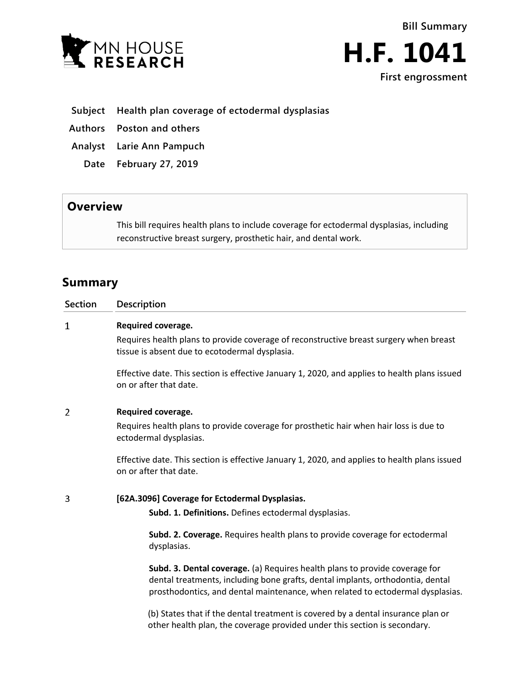



## **Subject Health plan coverage of ectodermal dysplasias**

**Authors Poston and others**

**Analyst Larie Ann Pampuch**

**Date February 27, 2019**

# **Overview**

This bill requires health plans to include coverage for ectodermal dysplasias, including reconstructive breast surgery, prosthetic hair, and dental work.

# **Summary**

| <b>Section</b> | <b>Description</b>                                                                                                                                                                                                                              |
|----------------|-------------------------------------------------------------------------------------------------------------------------------------------------------------------------------------------------------------------------------------------------|
| $\mathbf{1}$   | Required coverage.                                                                                                                                                                                                                              |
|                | Requires health plans to provide coverage of reconstructive breast surgery when breast<br>tissue is absent due to ecotodermal dysplasia.                                                                                                        |
|                | Effective date. This section is effective January 1, 2020, and applies to health plans issued<br>on or after that date.                                                                                                                         |
| $\overline{2}$ | Required coverage.                                                                                                                                                                                                                              |
|                | Requires health plans to provide coverage for prosthetic hair when hair loss is due to<br>ectodermal dysplasias.                                                                                                                                |
|                | Effective date. This section is effective January 1, 2020, and applies to health plans issued<br>on or after that date.                                                                                                                         |
| 3              | [62A.3096] Coverage for Ectodermal Dysplasias.                                                                                                                                                                                                  |
|                | Subd. 1. Definitions. Defines ectodermal dysplasias.                                                                                                                                                                                            |
|                | Subd. 2. Coverage. Requires health plans to provide coverage for ectodermal<br>dysplasias.                                                                                                                                                      |
|                | Subd. 3. Dental coverage. (a) Requires health plans to provide coverage for<br>dental treatments, including bone grafts, dental implants, orthodontia, dental<br>prosthodontics, and dental maintenance, when related to ectodermal dysplasias. |
|                | (b) States that if the dental treatment is covered by a dental insurance plan or                                                                                                                                                                |

(b) States that if the dental treatment is covered by a dental insurance plan or other health plan, the coverage provided under this section is secondary.